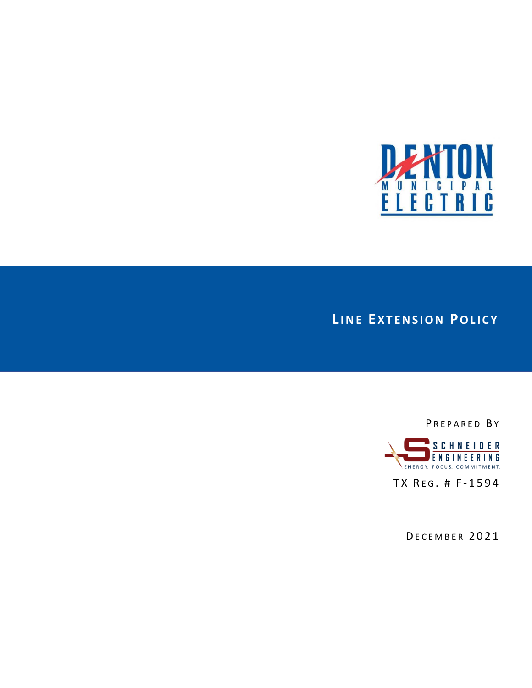

# **LINE EXTENSION POLICY**

PREPARED BY



TX REG. # F-1594

DECEMBER 2021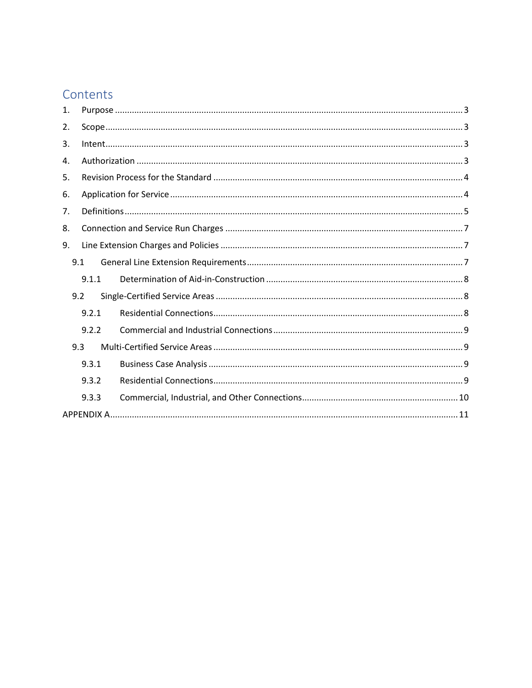# Contents

| 1.  |       |  |
|-----|-------|--|
| 2.  |       |  |
| 3.  |       |  |
| 4.  |       |  |
| 5.  |       |  |
| 6.  |       |  |
| 7.  |       |  |
| 8.  |       |  |
| 9.  |       |  |
|     | 9.1   |  |
|     | 9.1.1 |  |
| 9.2 |       |  |
|     | 9.2.1 |  |
|     | 9.2.2 |  |
|     | 9.3   |  |
|     | 9.3.1 |  |
|     | 9.3.2 |  |
|     | 9.3.3 |  |
|     |       |  |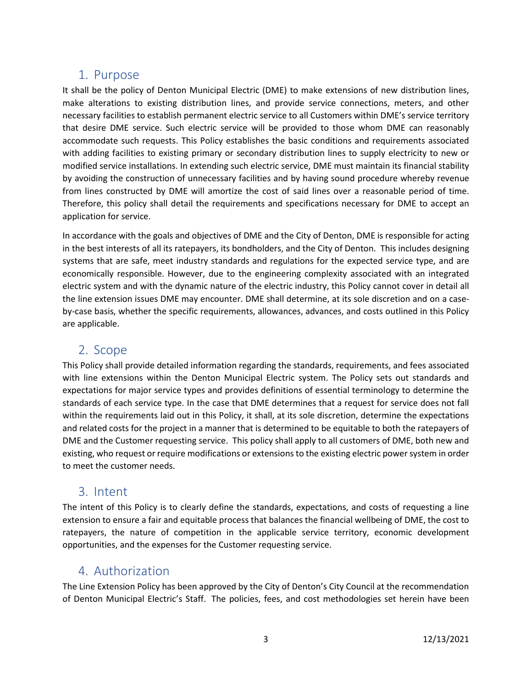# <span id="page-2-0"></span>1. Purpose

It shall be the policy of Denton Municipal Electric (DME) to make extensions of new distribution lines, make alterations to existing distribution lines, and provide service connections, meters, and other necessary facilities to establish permanent electric service to all Customers within DME's service territory that desire DME service. Such electric service will be provided to those whom DME can reasonably accommodate such requests. This Policy establishes the basic conditions and requirements associated with adding facilities to existing primary or secondary distribution lines to supply electricity to new or modified service installations. In extending such electric service, DME must maintain its financial stability by avoiding the construction of unnecessary facilities and by having sound procedure whereby revenue from lines constructed by DME will amortize the cost of said lines over a reasonable period of time. Therefore, this policy shall detail the requirements and specifications necessary for DME to accept an application for service.

In accordance with the goals and objectives of DME and the City of Denton, DME is responsible for acting in the best interests of all its ratepayers, its bondholders, and the City of Denton. This includes designing systems that are safe, meet industry standards and regulations for the expected service type, and are economically responsible. However, due to the engineering complexity associated with an integrated electric system and with the dynamic nature of the electric industry, this Policy cannot cover in detail all the line extension issues DME may encounter. DME shall determine, at its sole discretion and on a caseby-case basis, whether the specific requirements, allowances, advances, and costs outlined in this Policy are applicable.

## <span id="page-2-1"></span>2. Scope

This Policy shall provide detailed information regarding the standards, requirements, and fees associated with line extensions within the Denton Municipal Electric system. The Policy sets out standards and expectations for major service types and provides definitions of essential terminology to determine the standards of each service type. In the case that DME determines that a request for service does not fall within the requirements laid out in this Policy, it shall, at its sole discretion, determine the expectations and related costs for the project in a manner that is determined to be equitable to both the ratepayers of DME and the Customer requesting service. This policy shall apply to all customers of DME, both new and existing, who request or require modifications or extensions to the existing electric power system in order to meet the customer needs.

### <span id="page-2-2"></span>3. Intent

The intent of this Policy is to clearly define the standards, expectations, and costs of requesting a line extension to ensure a fair and equitable process that balances the financial wellbeing of DME, the cost to ratepayers, the nature of competition in the applicable service territory, economic development opportunities, and the expenses for the Customer requesting service.

### <span id="page-2-3"></span>4. Authorization

The Line Extension Policy has been approved by the City of Denton's City Council at the recommendation of Denton Municipal Electric's Staff. The policies, fees, and cost methodologies set herein have been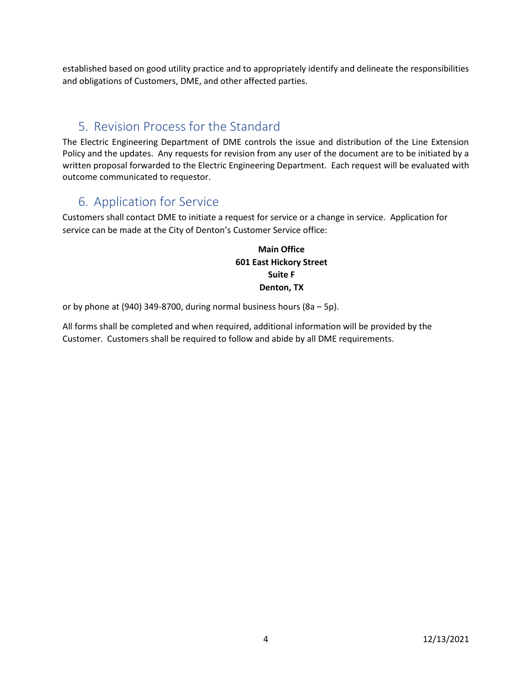established based on good utility practice and to appropriately identify and delineate the responsibilities and obligations of Customers, DME, and other affected parties.

# <span id="page-3-0"></span>5. Revision Process for the Standard

The Electric Engineering Department of DME controls the issue and distribution of the Line Extension Policy and the updates. Any requests for revision from any user of the document are to be initiated by a written proposal forwarded to the Electric Engineering Department. Each request will be evaluated with outcome communicated to requestor.

# <span id="page-3-1"></span>6. Application for Service

Customers shall contact DME to initiate a request for service or a change in service. Application for service can be made at the City of Denton's Customer Service office:

### **Main Office 601 East Hickory Street Suite F Denton, TX**

or by phone at (940) 349-8700, during normal business hours (8a – 5p).

All forms shall be completed and when required, additional information will be provided by the Customer. Customers shall be required to follow and abide by all DME requirements.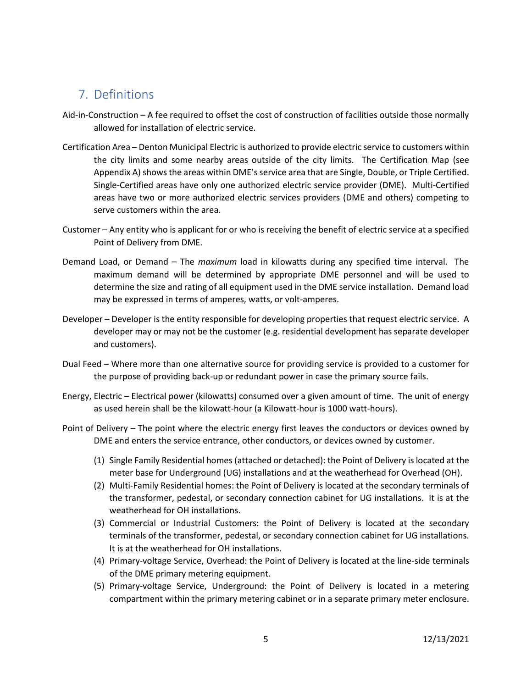# <span id="page-4-0"></span>7. Definitions

- Aid-in-Construction A fee required to offset the cost of construction of facilities outside those normally allowed for installation of electric service.
- Certification Area Denton Municipal Electric is authorized to provide electric service to customers within the city limits and some nearby areas outside of the city limits. The Certification Map (see Appendix A) shows the areas within DME's service area that are Single, Double, or Triple Certified. Single-Certified areas have only one authorized electric service provider (DME). Multi-Certified areas have two or more authorized electric services providers (DME and others) competing to serve customers within the area.
- Customer Any entity who is applicant for or who is receiving the benefit of electric service at a specified Point of Delivery from DME.
- Demand Load, or Demand The *maximum* load in kilowatts during any specified time interval. The maximum demand will be determined by appropriate DME personnel and will be used to determine the size and rating of all equipment used in the DME service installation. Demand load may be expressed in terms of amperes, watts, or volt-amperes.
- Developer Developer is the entity responsible for developing properties that request electric service. A developer may or may not be the customer (e.g. residential development has separate developer and customers).
- Dual Feed Where more than one alternative source for providing service is provided to a customer for the purpose of providing back-up or redundant power in case the primary source fails.
- Energy, Electric Electrical power (kilowatts) consumed over a given amount of time. The unit of energy as used herein shall be the kilowatt-hour (a Kilowatt-hour is 1000 watt-hours).
- Point of Delivery The point where the electric energy first leaves the conductors or devices owned by DME and enters the service entrance, other conductors, or devices owned by customer.
	- (1) Single Family Residential homes (attached or detached): the Point of Delivery is located at the meter base for Underground (UG) installations and at the weatherhead for Overhead (OH).
	- (2) Multi-Family Residential homes: the Point of Delivery is located at the secondary terminals of the transformer, pedestal, or secondary connection cabinet for UG installations. It is at the weatherhead for OH installations.
	- (3) Commercial or Industrial Customers: the Point of Delivery is located at the secondary terminals of the transformer, pedestal, or secondary connection cabinet for UG installations. It is at the weatherhead for OH installations.
	- (4) Primary-voltage Service, Overhead: the Point of Delivery is located at the line-side terminals of the DME primary metering equipment.
	- (5) Primary-voltage Service, Underground: the Point of Delivery is located in a metering compartment within the primary metering cabinet or in a separate primary meter enclosure.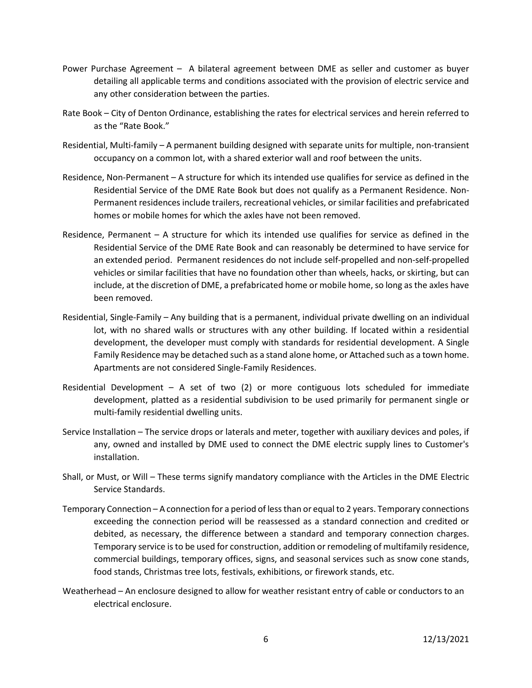- Power Purchase Agreement A bilateral agreement between DME as seller and customer as buyer detailing all applicable terms and conditions associated with the provision of electric service and any other consideration between the parties.
- Rate Book City of Denton Ordinance, establishing the rates for electrical services and herein referred to as the "Rate Book."
- Residential, Multi-family A permanent building designed with separate units for multiple, non-transient occupancy on a common lot, with a shared exterior wall and roof between the units.
- Residence, Non-Permanent A structure for which its intended use qualifies for service as defined in the Residential Service of the DME Rate Book but does not qualify as a Permanent Residence. Non-Permanent residences include trailers, recreational vehicles, or similar facilities and prefabricated homes or mobile homes for which the axles have not been removed.
- Residence, Permanent A structure for which its intended use qualifies for service as defined in the Residential Service of the DME Rate Book and can reasonably be determined to have service for an extended period. Permanent residences do not include self-propelled and non-self-propelled vehicles or similar facilities that have no foundation other than wheels, hacks, or skirting, but can include, at the discretion of DME, a prefabricated home or mobile home, so long as the axles have been removed.
- Residential, Single-Family Any building that is a permanent, individual private dwelling on an individual lot, with no shared walls or structures with any other building. If located within a residential development, the developer must comply with standards for residential development. A Single Family Residence may be detached such as a stand alone home, or Attached such as a town home. Apartments are not considered Single-Family Residences.
- Residential Development A set of two  $(2)$  or more contiguous lots scheduled for immediate development, platted as a residential subdivision to be used primarily for permanent single or multi-family residential dwelling units.
- Service Installation The service drops or laterals and meter, together with auxiliary devices and poles, if any, owned and installed by DME used to connect the DME electric supply lines to Customer's installation.
- Shall, or Must, or Will These terms signify mandatory compliance with the Articles in the DME Electric Service Standards.
- Temporary Connection A connection for a period of less than or equal to 2 years. Temporary connections exceeding the connection period will be reassessed as a standard connection and credited or debited, as necessary, the difference between a standard and temporary connection charges. Temporary service isto be used for construction, addition or remodeling of multifamily residence, commercial buildings, temporary offices, signs, and seasonal services such as snow cone stands, food stands, Christmas tree lots, festivals, exhibitions, or firework stands, etc.
- Weatherhead An enclosure designed to allow for weather resistant entry of cable or conductors to an electrical enclosure.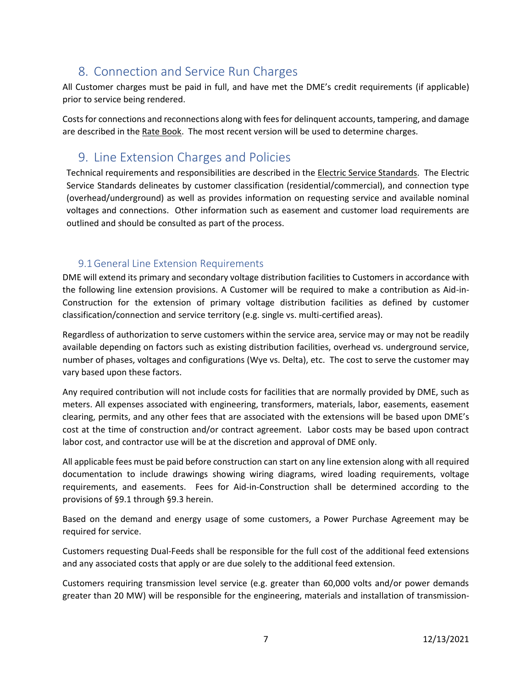# <span id="page-6-0"></span>8. Connection and Service Run Charges

All Customer charges must be paid in full, and have met the DME's credit requirements (if applicable) prior to service being rendered.

Costs for connections and reconnections along with fees for delinquent accounts, tampering, and damage are described in the Rate Book. The most recent version will be used to determine charges.

# <span id="page-6-1"></span>9. Line Extension Charges and Policies

Technical requirements and responsibilities are described in the Electric Service Standards. The Electric Service Standards delineates by customer classification (residential/commercial), and connection type (overhead/underground) as well as provides information on requesting service and available nominal voltages and connections. Other information such as easement and customer load requirements are outlined and should be consulted as part of the process.

### 9.1General Line Extension Requirements

<span id="page-6-2"></span>DME will extend its primary and secondary voltage distribution facilities to Customers in accordance with the following line extension provisions. A Customer will be required to make a contribution as Aid-in-Construction for the extension of primary voltage distribution facilities as defined by customer classification/connection and service territory (e.g. single vs. multi-certified areas).

Regardless of authorization to serve customers within the service area, service may or may not be readily available depending on factors such as existing distribution facilities, overhead vs. underground service, number of phases, voltages and configurations (Wye vs. Delta), etc. The cost to serve the customer may vary based upon these factors.

Any required contribution will not include costs for facilities that are normally provided by DME, such as meters. All expenses associated with engineering, transformers, materials, labor, easements, easement clearing, permits, and any other fees that are associated with the extensions will be based upon DME's cost at the time of construction and/or contract agreement. Labor costs may be based upon contract labor cost, and contractor use will be at the discretion and approval of DME only.

All applicable fees must be paid before construction can start on any line extension along with all required documentation to include drawings showing wiring diagrams, wired loading requirements, voltage requirements, and easements. Fees for Aid-in-Construction shall be determined according to the provisions of §9.1 through §9.3 herein.

Based on the demand and energy usage of some customers, a Power Purchase Agreement may be required for service.

Customers requesting Dual-Feeds shall be responsible for the full cost of the additional feed extensions and any associated costs that apply or are due solely to the additional feed extension.

Customers requiring transmission level service (e.g. greater than 60,000 volts and/or power demands greater than 20 MW) will be responsible for the engineering, materials and installation of transmission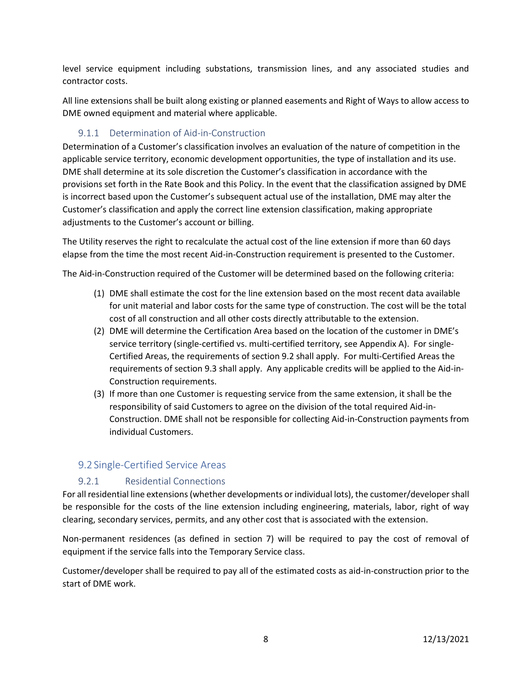level service equipment including substations, transmission lines, and any associated studies and contractor costs.

All line extensions shall be built along existing or planned easements and Right of Ways to allow access to DME owned equipment and material where applicable.

### 9.1.1 Determination of Aid-in-Construction

<span id="page-7-0"></span>Determination of a Customer's classification involves an evaluation of the nature of competition in the applicable service territory, economic development opportunities, the type of installation and its use. DME shall determine at its sole discretion the Customer's classification in accordance with the provisions set forth in the Rate Book and this Policy. In the event that the classification assigned by DME is incorrect based upon the Customer's subsequent actual use of the installation, DME may alter the Customer's classification and apply the correct line extension classification, making appropriate adjustments to the Customer's account or billing.

The Utility reserves the right to recalculate the actual cost of the line extension if more than 60 days elapse from the time the most recent Aid-in-Construction requirement is presented to the Customer.

The Aid-in-Construction required of the Customer will be determined based on the following criteria:

- (1) DME shall estimate the cost for the line extension based on the most recent data available for unit material and labor costs for the same type of construction. The cost will be the total cost of all construction and all other costs directly attributable to the extension.
- (2) DME will determine the Certification Area based on the location of the customer in DME's service territory (single-certified vs. multi-certified territory, see Appendix A). For single-Certified Areas, the requirements of section 9.2 shall apply. For multi-Certified Areas the requirements of section 9.3 shall apply. Any applicable credits will be applied to the Aid-in-Construction requirements.
- (3) If more than one Customer is requesting service from the same extension, it shall be the responsibility of said Customers to agree on the division of the total required Aid-in-Construction. DME shall not be responsible for collecting Aid-in-Construction payments from individual Customers.

### <span id="page-7-1"></span>9.2 Single-Certified Service Areas

#### 9.2.1 Residential Connections

<span id="page-7-2"></span>For all residential line extensions (whether developments or individual lots), the customer/developer shall be responsible for the costs of the line extension including engineering, materials, labor, right of way clearing, secondary services, permits, and any other cost that is associated with the extension.

Non-permanent residences (as defined in section 7) will be required to pay the cost of removal of equipment if the service falls into the Temporary Service class.

Customer/developer shall be required to pay all of the estimated costs as aid-in-construction prior to the start of DME work.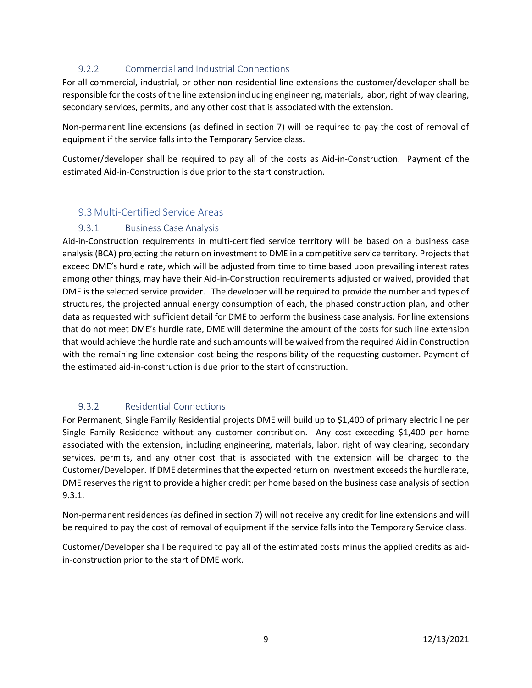### <span id="page-8-0"></span>9.2.2 Commercial and Industrial Connections

For all commercial, industrial, or other non-residential line extensions the customer/developer shall be responsible for the costs of the line extension including engineering, materials, labor, right of way clearing, secondary services, permits, and any other cost that is associated with the extension.

Non-permanent line extensions (as defined in section 7) will be required to pay the cost of removal of equipment if the service falls into the Temporary Service class.

Customer/developer shall be required to pay all of the costs as Aid-in-Construction. Payment of the estimated Aid-in-Construction is due prior to the start construction.

### <span id="page-8-1"></span>9.3Multi-Certified Service Areas

#### <span id="page-8-2"></span>9.3.1 Business Case Analysis

Aid-in-Construction requirements in multi-certified service territory will be based on a business case analysis (BCA) projecting the return on investment to DME in a competitive service territory. Projects that exceed DME's hurdle rate, which will be adjusted from time to time based upon prevailing interest rates among other things, may have their Aid-in-Construction requirements adjusted or waived, provided that DME is the selected service provider. The developer will be required to provide the number and types of structures, the projected annual energy consumption of each, the phased construction plan, and other data as requested with sufficient detail for DME to perform the business case analysis. For line extensions that do not meet DME's hurdle rate, DME will determine the amount of the costs for such line extension that would achieve the hurdle rate and such amounts will be waived from the required Aid in Construction with the remaining line extension cost being the responsibility of the requesting customer. Payment of the estimated aid-in-construction is due prior to the start of construction.

### <span id="page-8-3"></span>9.3.2 Residential Connections

For Permanent, Single Family Residential projects DME will build up to \$1,400 of primary electric line per Single Family Residence without any customer contribution. Any cost exceeding \$1,400 per home associated with the extension, including engineering, materials, labor, right of way clearing, secondary services, permits, and any other cost that is associated with the extension will be charged to the Customer/Developer. If DME determines that the expected return on investment exceeds the hurdle rate, DME reserves the right to provide a higher credit per home based on the business case analysis of section 9.3.1.

Non-permanent residences (as defined in section 7) will not receive any credit for line extensions and will be required to pay the cost of removal of equipment if the service falls into the Temporary Service class.

Customer/Developer shall be required to pay all of the estimated costs minus the applied credits as aidin-construction prior to the start of DME work.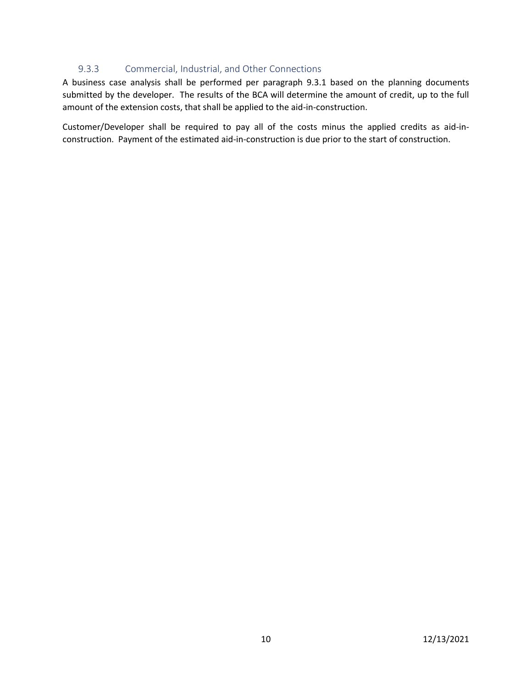#### 9.3.3 Commercial, Industrial, and Other Connections

<span id="page-9-0"></span>A business case analysis shall be performed per paragraph 9.3.1 based on the planning documents submitted by the developer. The results of the BCA will determine the amount of credit, up to the full amount of the extension costs, that shall be applied to the aid-in-construction.

Customer/Developer shall be required to pay all of the costs minus the applied credits as aid-inconstruction. Payment of the estimated aid-in-construction is due prior to the start of construction.